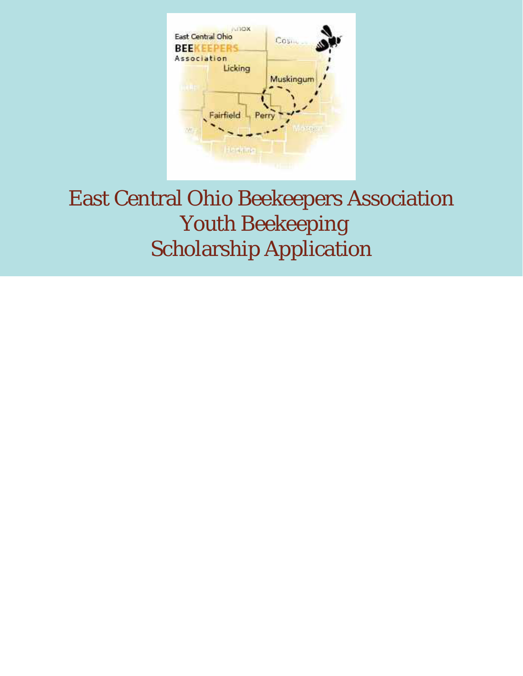

# East Central Ohio Beekeepers Association Youth Beekeeping Scholarship Application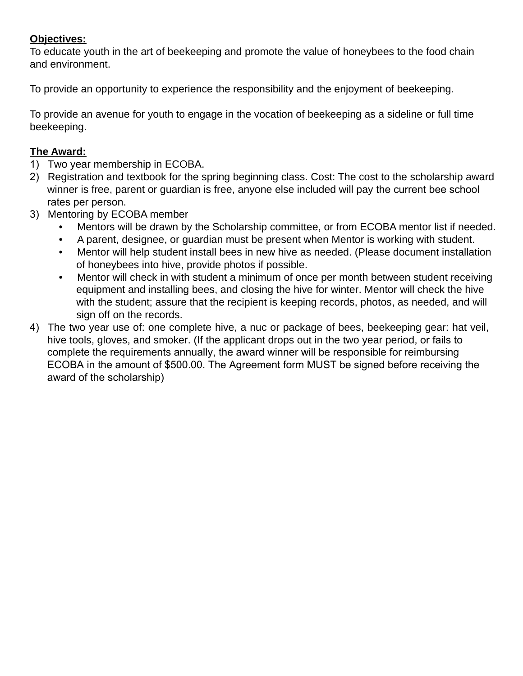## **Objectives:**

To educate youth in the art of beekeeping and promote the value of honeybees to the food chain and environment.

To provide an opportunity to experience the responsibility and the enjoyment of beekeeping.

To provide an avenue for youth to engage in the vocation of beekeeping as a sideline or full time beekeeping.

## **The Award:**

- 1) Two year membership in ECOBA.
- 2) Registration and textbook for the spring beginning class. Cost: The cost to the scholarship award winner is free, parent or guardian is free, anyone else included will pay the current bee school rates per person.
- 3) Mentoring by ECOBA member
	- Mentors will be drawn by the Scholarship committee, or from ECOBA mentor list if needed.
	- A parent, designee, or guardian must be present when Mentor is working with student.
	- Mentor will help student install bees in new hive as needed. (Please document installation of honeybees into hive, provide photos if possible.
	- Mentor will check in with student a minimum of once per month between student receiving equipment and installing bees, and closing the hive for winter. Mentor will check the hive with the student; assure that the recipient is keeping records, photos, as needed, and will sign off on the records.
- 4) The two year use of: one complete hive, a nuc or package of bees, beekeeping gear: hat veil, hive tools, gloves, and smoker. (If the applicant drops out in the two year period, or fails to complete the requirements annually, the award winner will be responsible for reimbursing ECOBA in the amount of \$500.00. The Agreement form MUST be signed before receiving the award of the scholarship)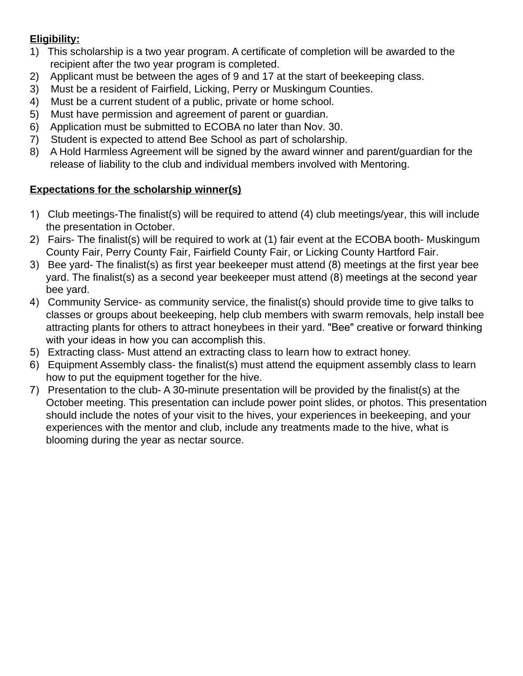## **Eligibility:**

- 1) This scholarship is a two year program. A certificate of completion will be awarded to the recipient after the two year program is completed.
- 2) Applicant must be between the ages of 9 and 17 at the start of beekeeping class.
- 3) Must be a resident of Fairfield, Licking, Perry or Muskingum Counties.
- 4) Must be a current student of a public, private or home school.
- 5) Must have permission and agreement of parent or guardian.
- 6) Application must be submitted to ECOBA no later than Nov. 30.
- 7) Student is expected to attend Bee School as part of scholarship.
- 8) A Hold Harmless Agreement will be signed by the award winner and parent/guardian for the release of liability to the club and individual members involved with Mentoring.

## **Expectations for the scholarship winner(s)**

- 1) Club meetings-The finalist(s) will be required to attend (4) club meetings/year, this will include the presentation in October.
- 2) Fairs- The finalist(s) will be required to work at (1) fair event at the ECOBA booth- Muskingum County Fair, Perry County Fair, Fairfield County Fair, or Licking County Hartford Fair.
- 3) Bee yard- The finalist(s) as first year beekeeper must attend (8) meetings at the first year bee yard. The finalist(s) as a second year beekeeper must attend (8) meetings at the second year bee yard.
- 4) Community Service- as community service, the finalist(s) should provide time to give talks to classes or groups about beekeeping, help club members with swarm removals, help install bee attracting plants for others to attract honeybees in their yard. "Bee" creative or forward thinking with your ideas in how you can accomplish this.
- 5) Extracting class- Must attend an extracting class to learn how to extract honey.
- 6) Equipment Assembly class- the finalist(s) must attend the equipment assembly class to learn how to put the equipment together for the hive.
- 7) Presentation to the club- A 30-minute presentation will be provided by the finalist(s) at the October meeting. This presentation can include power point slides, or photos. This presentation should include the notes of your visit to the hives, your experiences in beekeeping, and your experiences with the mentor and club, include any treatments made to the hive, what is blooming during the year as nectar source.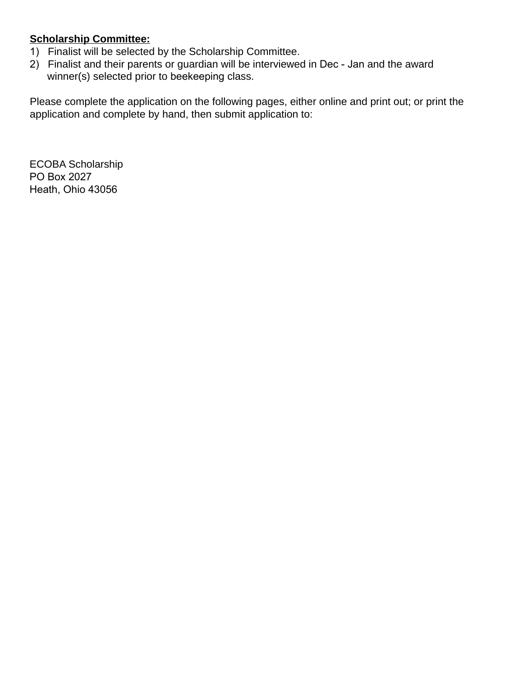## **Scholarship Committee:**

- 1) Finalist will be selected by the Scholarship Committee.
- 2) Finalist and their parents or guardian will be interviewed in Dec Jan and the award winner(s) selected prior to beekeeping class.

Please complete the application on the following pages, either online and print out; or print the application and complete by hand, then submit application to:

ECOBA Scholarship PO Box 2027 Heath, Ohio 43056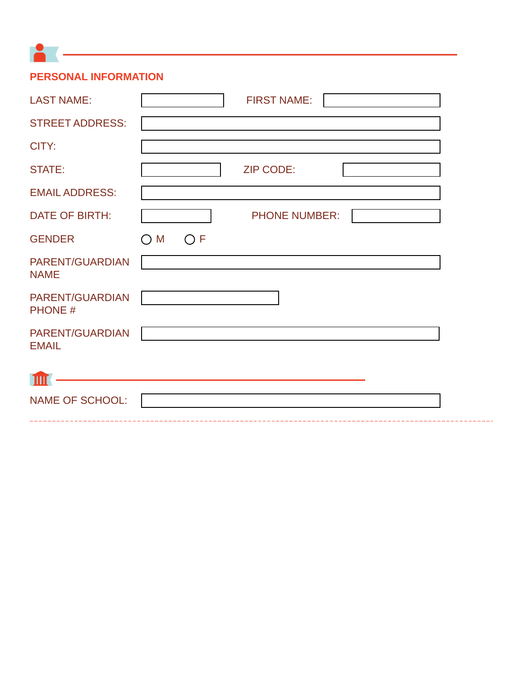**PERSONAL INFORMATION**

 $\bullet$  (  $\overline{\phantom{a}}$  )  $\overline{\phantom{a}}$ 

| <b>LAST NAME:</b>                 | <b>FIRST NAME:</b>       |
|-----------------------------------|--------------------------|
| <b>STREET ADDRESS:</b>            |                          |
| CITY:                             |                          |
| <b>STATE:</b>                     | <b>ZIP CODE:</b>         |
| <b>EMAIL ADDRESS:</b>             |                          |
| <b>DATE OF BIRTH:</b>             | <b>PHONE NUMBER:</b>     |
| <b>GENDER</b>                     | M<br>$\bigcirc$ F<br>( ) |
| PARENT/GUARDIAN<br><b>NAME</b>    |                          |
| PARENT/GUARDIAN<br><b>PHONE #</b> |                          |
| PARENT/GUARDIAN<br><b>EMAIL</b>   |                          |
| Ш                                 |                          |
| <b>NAME OF SCHOOL:</b>            |                          |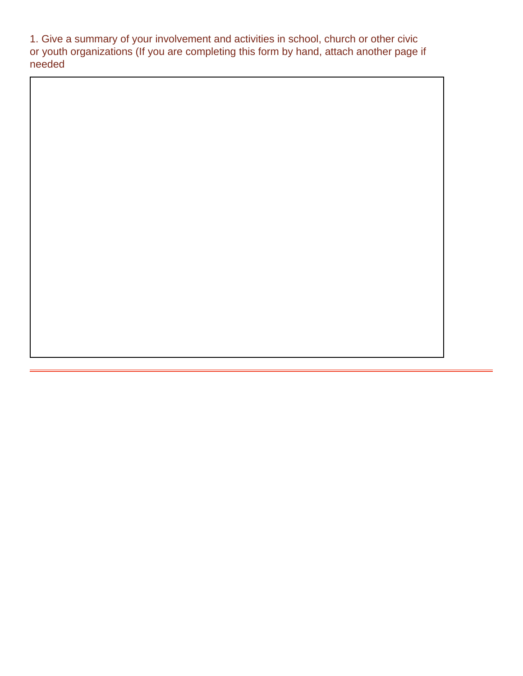1. Give a summary of your involvement and activities in school, church or other civic or youth organizations (If you are completing this form by hand, attach another page if needed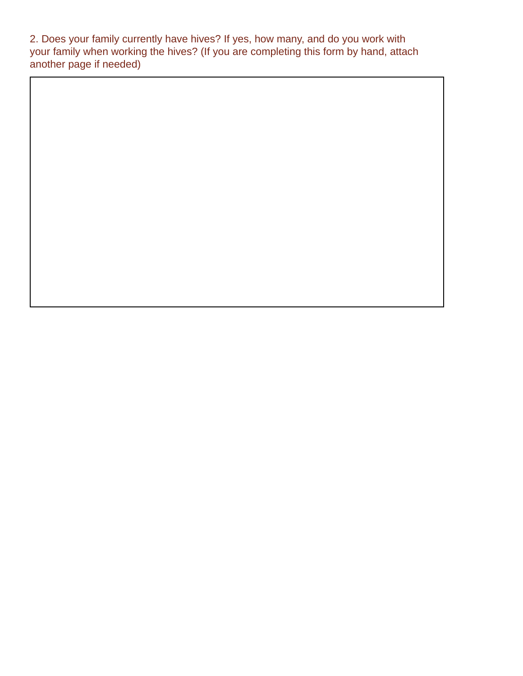2. Does your family currently have hives? If yes, how many, and do you work with your family when working the hives? (If you are completing this form by hand, attach another page if needed)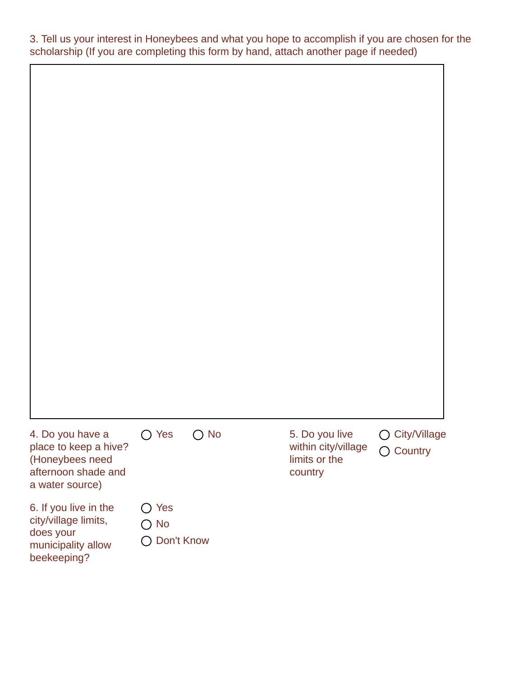3. Tell us your interest in Honeybees and what you hope to accomplish if you are chosen for the scholarship (If you are completing this form by hand, attach another page if needed)

| 4. Do you have a<br>place to keep a hive?<br>(Honeybees need<br>afternoon shade and<br>a water source) | $\bigcirc$ Yes                                  | $\bigcirc$ No | 5. Do you live<br>within city/village<br>limits or the<br>country | ○ City/Village<br>◯ Country |
|--------------------------------------------------------------------------------------------------------|-------------------------------------------------|---------------|-------------------------------------------------------------------|-----------------------------|
| 6. If you live in the<br>city/village limits,<br>does your<br>municipality allow<br>beekeeping?        | $\bigcirc$ Yes<br>$\bigcirc$ No<br>◯ Don't Know |               |                                                                   |                             |